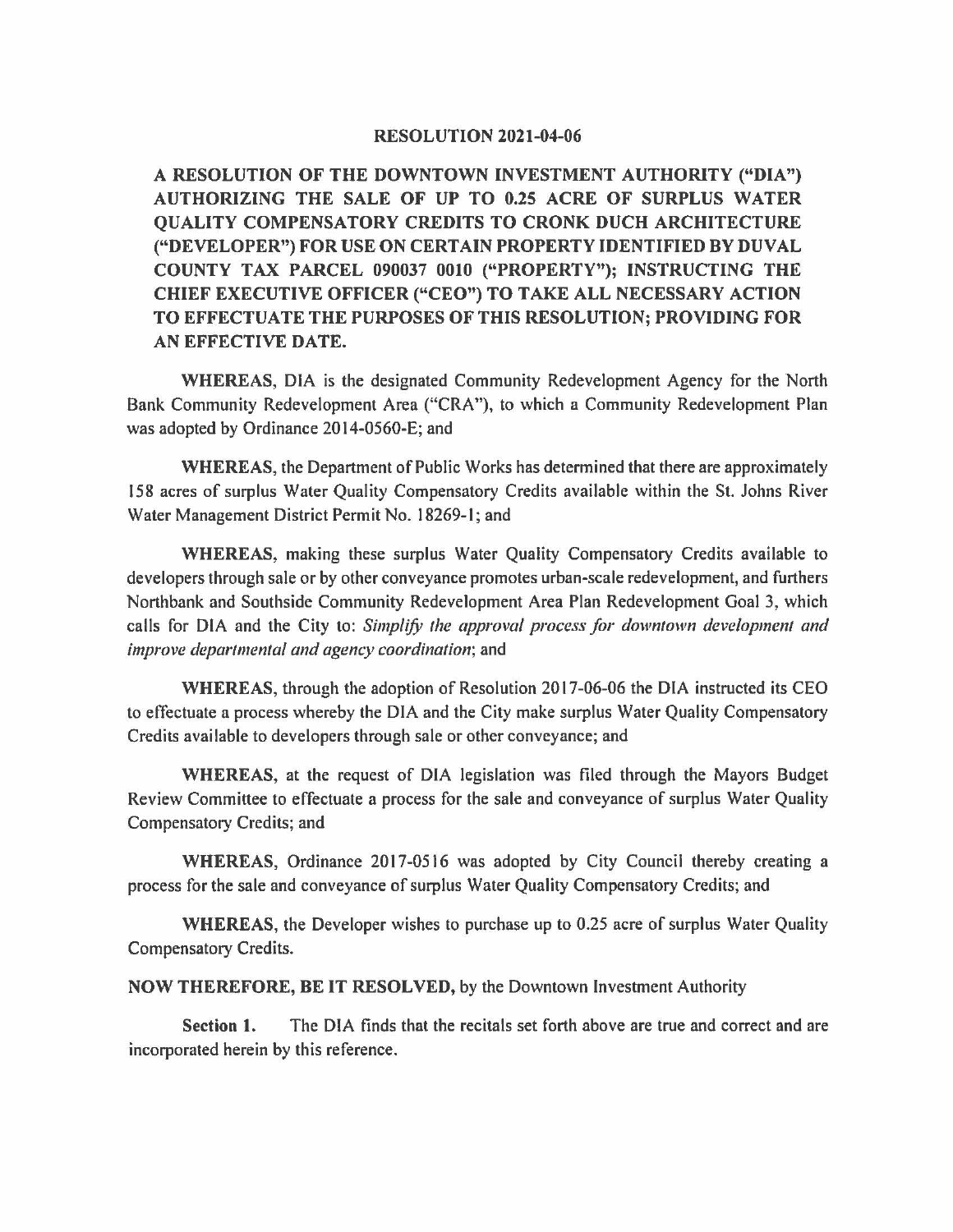## **RESOLUTION 2021-04-06**

**A RESOLUTION OF THE DOWNTOWN INVESTMENT AUTHORITY ("DIA") AUTHORIZING THE SALE OF UP TO 0.25 ACRE OF SURPLUS WATER QUALITY COMPENSATORY CREDITS TO CRONK DUCH ARCHITECTURE ("DEVELOPER") FOR USE ON CERTAIN PROPERTY IDENTIFIED BY DUVAL COUNTY TAX PARCEL** 090037 **0010 ("PROPERTY"); INSTRUCTING THE CHIEF EXECUTIVE OFFICER ("CEO") TO TAKE ALL NECESSARY ACTION TO EFFECTUATE THE PURPOSES OF THIS RESOLUTION; PROVIDING FOR AN EFFECTIVE DATE.** 

**WHEREAS,** DIA is the designated Community Redevelopment Agency for the North Bank Community Redevelopment Area ("CRA"), to which a Community Redevelopment Plan was adopted by Ordinance 2014-0560-E; and

**WHEREAS,** the Department of Public Works has determined that there are approximately 158 acres of surplus Water Quality Compensatory Credits available within the St. Johns River Water Management District Permit No. 18269-1; and

**WHEREAS,** making these surplus Water Quality Compensatory Credits available to developers through sale or by other conveyance promotes urban-scale redevelopment, and furthers Northbank and Southside Community Redevelopment Area Plan Redevelopment Goal 3, which calls for DIA and the City to: *Simplify the approval process for downtown development and improve departmental and agency coordination;* and

**WHEREAS,** through the adoption of Resolution 2017-06-06 the DIA instructed its CEO to effectuate a process whereby the DIA and the City make surplus Water Quality Compensatory Credits available to developers through sale or other conveyance; and

**WHEREAS,** at the request of DIA legislation was filed through the Mayors Budget Review Committee to effectuate a process for the sale and conveyance of surplus Water Quality Compensatory Credits; and

**WHEREAS,** Ordinance 2017-0516 was adopted by City Council thereby creating a process for the sale and conveyance of surplus Water Quality Compensatory Credits; and

**WHEREAS,** the Developer wishes to purchase up to 0.25 acre of surplus Water Quality Compensatory Credits.

**NOW THEREFORE, BE IT RESOLVED,** by the Downtown Investment Authority

**Section 1.** The DIA finds that the recitals set forth above are true and correct and are incorporated herein by this reference.